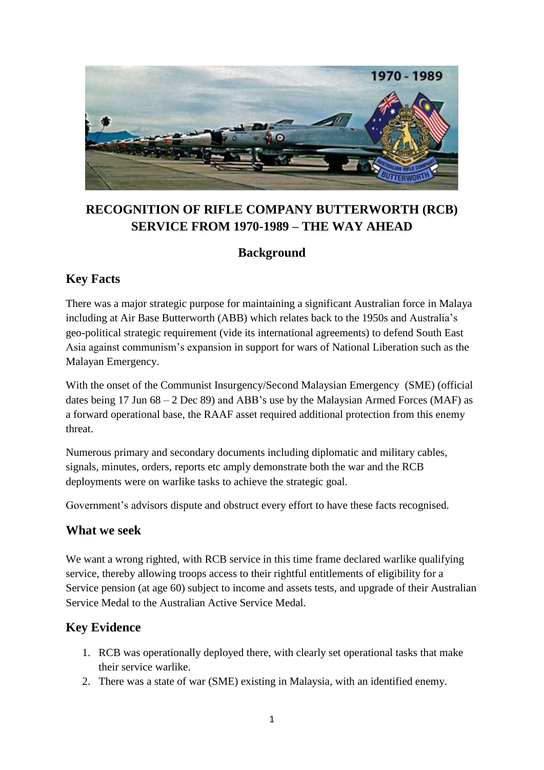

# **RECOGNITION OF RIFLE COMPANY BUTTERWORTH (RCB) SERVICE FROM 1970-1989 – THE WAY AHEAD**

### **Background**

### **Key Facts**

There was a major strategic purpose for maintaining a significant Australian force in Malaya including at Air Base Butterworth (ABB) which relates back to the 1950s and Australia's geo-political strategic requirement (vide its international agreements) to defend South East Asia against communism's expansion in support for wars of National Liberation such as the Malayan Emergency.

With the onset of the Communist Insurgency/Second Malaysian Emergency (SME) (official dates being 17 Jun  $68 - 2$  Dec 89) and ABB's use by the Malaysian Armed Forces (MAF) as a forward operational base, the RAAF asset required additional protection from this enemy threat.

Numerous primary and secondary documents including diplomatic and military cables, signals, minutes, orders, reports etc amply demonstrate both the war and the RCB deployments were on warlike tasks to achieve the strategic goal.

Government's advisors dispute and obstruct every effort to have these facts recognised.

### **What we seek**

We want a wrong righted, with RCB service in this time frame declared warlike qualifying service, thereby allowing troops access to their rightful entitlements of eligibility for a Service pension (at age 60) subject to income and assets tests, and upgrade of their Australian Service Medal to the Australian Active Service Medal.

# **Key Evidence**

- 1. RCB was operationally deployed there, with clearly set operational tasks that make their service warlike.
- 2. There was a state of war (SME) existing in Malaysia, with an identified enemy.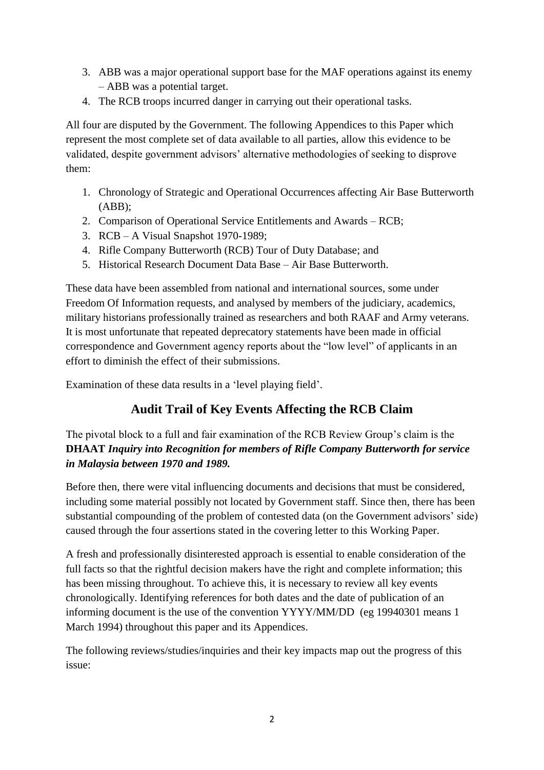- 3. ABB was a major operational support base for the MAF operations against its enemy – ABB was a potential target.
- 4. The RCB troops incurred danger in carrying out their operational tasks.

All four are disputed by the Government. The following Appendices to this Paper which represent the most complete set of data available to all parties, allow this evidence to be validated, despite government advisors' alternative methodologies of seeking to disprove them:

- 1. Chronology of Strategic and Operational Occurrences affecting Air Base Butterworth (ABB);
- 2. Comparison of Operational Service Entitlements and Awards RCB;
- 3. RCB A Visual Snapshot 1970-1989;
- 4. Rifle Company Butterworth (RCB) Tour of Duty Database; and
- 5. Historical Research Document Data Base Air Base Butterworth.

These data have been assembled from national and international sources, some under Freedom Of Information requests, and analysed by members of the judiciary, academics, military historians professionally trained as researchers and both RAAF and Army veterans. It is most unfortunate that repeated deprecatory statements have been made in official correspondence and Government agency reports about the "low level" of applicants in an effort to diminish the effect of their submissions.

Examination of these data results in a 'level playing field'.

# **Audit Trail of Key Events Affecting the RCB Claim**

The pivotal block to a full and fair examination of the RCB Review Group's claim is the **DHAAT** *Inquiry into Recognition for members of Rifle Company Butterworth for service in Malaysia between 1970 and 1989.*

Before then, there were vital influencing documents and decisions that must be considered, including some material possibly not located by Government staff. Since then, there has been substantial compounding of the problem of contested data (on the Government advisors' side) caused through the four assertions stated in the covering letter to this Working Paper.

A fresh and professionally disinterested approach is essential to enable consideration of the full facts so that the rightful decision makers have the right and complete information; this has been missing throughout. To achieve this, it is necessary to review all key events chronologically. Identifying references for both dates and the date of publication of an informing document is the use of the convention YYYY/MM/DD (eg 19940301 means 1 March 1994) throughout this paper and its Appendices.

The following reviews/studies/inquiries and their key impacts map out the progress of this issue: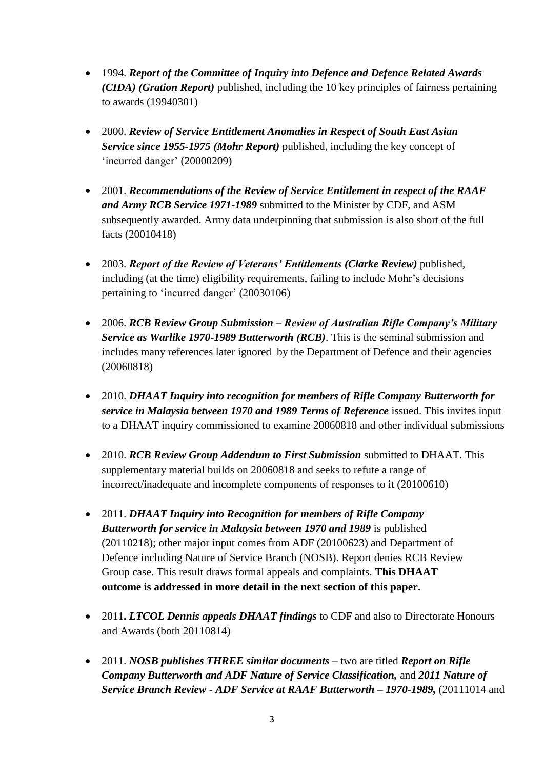- 1994. *Report of the Committee of Inquiry into Defence and Defence Related Awards (CIDA) (Gration Report)* published, including the 10 key principles of fairness pertaining to awards (19940301)
- 2000. *Review of Service Entitlement Anomalies in Respect of South East Asian Service since 1955-1975 (Mohr Report)* published, including the key concept of 'incurred danger' (20000209)
- 2001. *Recommendations of the Review of Service Entitlement in respect of the RAAF and Army RCB Service 1971-1989* submitted to the Minister by CDF, and ASM subsequently awarded. Army data underpinning that submission is also short of the full facts (20010418)
- 2003. *Report of the Review of Veterans' Entitlements (Clarke Review)* published, including (at the time) eligibility requirements, failing to include Mohr's decisions pertaining to 'incurred danger' (20030106)
- 2006. *RCB Review Group Submission – Review of Australian Rifle Company's Military Service as Warlike 1970-1989 Butterworth (RCB)*. This is the seminal submission and includes many references later ignored by the Department of Defence and their agencies (20060818)
- 2010. *DHAAT Inquiry into recognition for members of Rifle Company Butterworth for service in Malaysia between 1970 and 1989 Terms of Reference* issued. This invites input to a DHAAT inquiry commissioned to examine 20060818 and other individual submissions
- 2010. *RCB Review Group Addendum to First Submission* submitted to DHAAT. This supplementary material builds on 20060818 and seeks to refute a range of incorrect/inadequate and incomplete components of responses to it (20100610)
- 2011. *DHAAT Inquiry into Recognition for members of Rifle Company Butterworth for service in Malaysia between 1970 and 1989* is published (20110218); other major input comes from ADF (20100623) and Department of Defence including Nature of Service Branch (NOSB). Report denies RCB Review Group case. This result draws formal appeals and complaints. **This DHAAT outcome is addressed in more detail in the next section of this paper.**
- 2011**.** *LTCOL Dennis appeals DHAAT findings* to CDF and also to Directorate Honours and Awards (both 20110814)
- 2011. *NOSB publishes THREE similar documents* two are titled *Report on Rifle Company Butterworth and ADF Nature of Service Classification,* and *2011 Nature of Service Branch Review - ADF Service at RAAF Butterworth – 1970-1989,* (20111014 and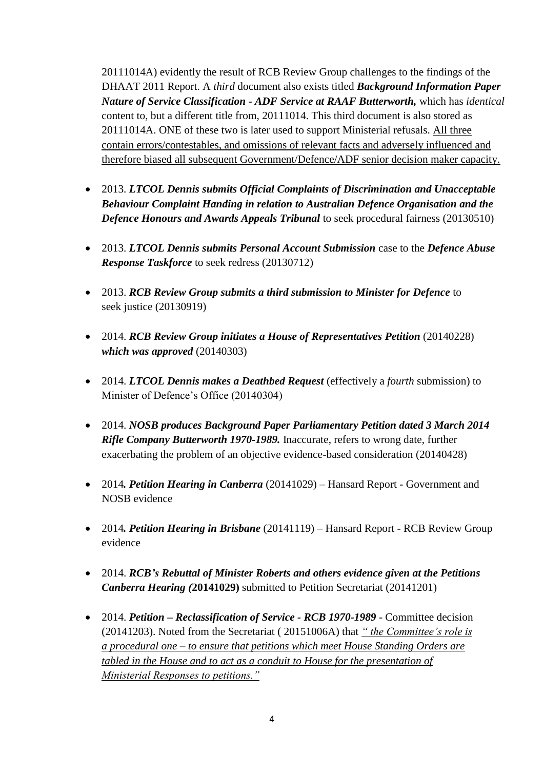20111014A) evidently the result of RCB Review Group challenges to the findings of the DHAAT 2011 Report. A *third* document also exists titled *Background Information Paper Nature of Service Classification - ADF Service at RAAF Butterworth,* which has *identical*  content to, but a different title from, 20111014. This third document is also stored as 20111014A. ONE of these two is later used to support Ministerial refusals. All three contain errors/contestables, and omissions of relevant facts and adversely influenced and therefore biased all subsequent Government/Defence/ADF senior decision maker capacity.

- 2013. *LTCOL Dennis submits Official Complaints of Discrimination and Unacceptable Behaviour Complaint Handing in relation to Australian Defence Organisation and the Defence Honours and Awards Appeals Tribunal* to seek procedural fairness (20130510)
- 2013. *LTCOL Dennis submits Personal Account Submission* case to the *Defence Abuse Response Taskforce* to seek redress (20130712)
- 2013. *RCB Review Group submits a third submission to Minister for Defence* to seek justice (20130919)
- 2014. *RCB Review Group initiates a House of Representatives Petition* (20140228) *which was approved* (20140303)
- 2014. *LTCOL Dennis makes a Deathbed Request* (effectively a *fourth* submission) to Minister of Defence's Office (20140304)
- 2014. *NOSB produces Background Paper Parliamentary Petition dated 3 March 2014 Rifle Company Butterworth 1970-1989.* Inaccurate, refers to wrong date, further exacerbating the problem of an objective evidence-based consideration (20140428)
- 2014*. Petition Hearing in Canberra* (20141029) Hansard Report Government and NOSB evidence
- 2014*. Petition Hearing in Brisbane* (20141119) Hansard Report RCB Review Group evidence
- 2014. *RCB's Rebuttal of Minister Roberts and others evidence given at the Petitions Canberra Hearing (***20141029)** submitted to Petition Secretariat (20141201)
- 2014. *Petition – Reclassification of Service - RCB 1970-1989* Committee decision (20141203). Noted from the Secretariat ( 20151006A) that *" the Committee's role is a procedural one – to ensure that petitions which meet House Standing Orders are tabled in the House and to act as a conduit to House for the presentation of Ministerial Responses to petitions."*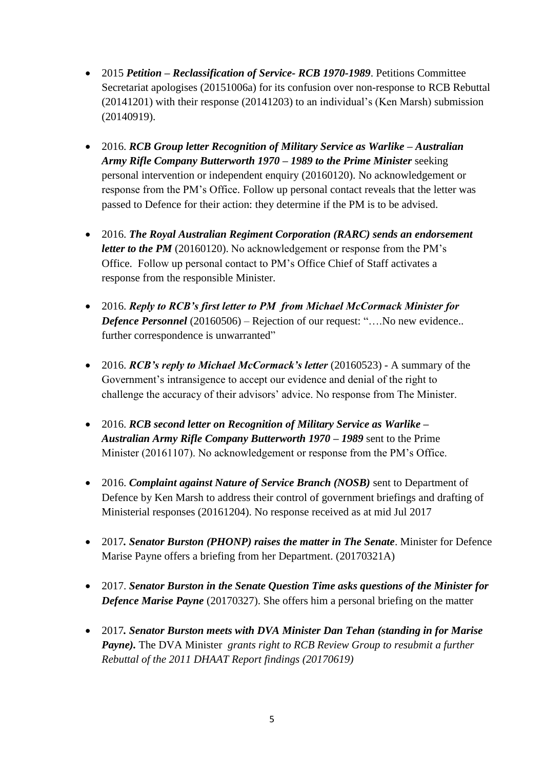- 2015 *Petition – Reclassification of Service- RCB 1970-1989*. Petitions Committee Secretariat apologises (20151006a) for its confusion over non-response to RCB Rebuttal (20141201) with their response (20141203) to an individual's (Ken Marsh) submission (20140919).
- 2016. *RCB Group letter Recognition of Military Service as Warlike – Australian Army Rifle Company Butterworth 1970 – 1989 to the Prime Minister* seeking personal intervention or independent enquiry (20160120). No acknowledgement or response from the PM's Office. Follow up personal contact reveals that the letter was passed to Defence for their action: they determine if the PM is to be advised.
- 2016. *The Royal Australian Regiment Corporation (RARC) sends an endorsement letter to the PM* (20160120). No acknowledgement or response from the PM's Office. Follow up personal contact to PM's Office Chief of Staff activates a response from the responsible Minister.
- 2016. *Reply to RCB's first letter to PM from Michael McCormack Minister for Defence Personnel* (20160506) – Rejection of our request: "....No new evidence.. further correspondence is unwarranted"
- 2016. *RCB's reply to Michael McCormack's letter* (20160523) A summary of the Government's intransigence to accept our evidence and denial of the right to challenge the accuracy of their advisors' advice. No response from The Minister.
- 2016. *RCB second letter on Recognition of Military Service as Warlike – Australian Army Rifle Company Butterworth 1970 – 1989* sent to the Prime Minister (20161107). No acknowledgement or response from the PM's Office.
- 2016. *Complaint against Nature of Service Branch (NOSB)* sent to Department of Defence by Ken Marsh to address their control of government briefings and drafting of Ministerial responses (20161204). No response received as at mid Jul 2017
- 2017*. Senator Burston (PHONP) raises the matter in The Senate*. Minister for Defence Marise Payne offers a briefing from her Department. (20170321A)
- 2017. *Senator Burston in the Senate Question Time asks questions of the Minister for Defence Marise Payne* (20170327). She offers him a personal briefing on the matter
- 2017*. Senator Burston meets with DVA Minister Dan Tehan (standing in for Marise Payne).* The DVA Minister *grants right to RCB Review Group to resubmit a further Rebuttal of the 2011 DHAAT Report findings (20170619)*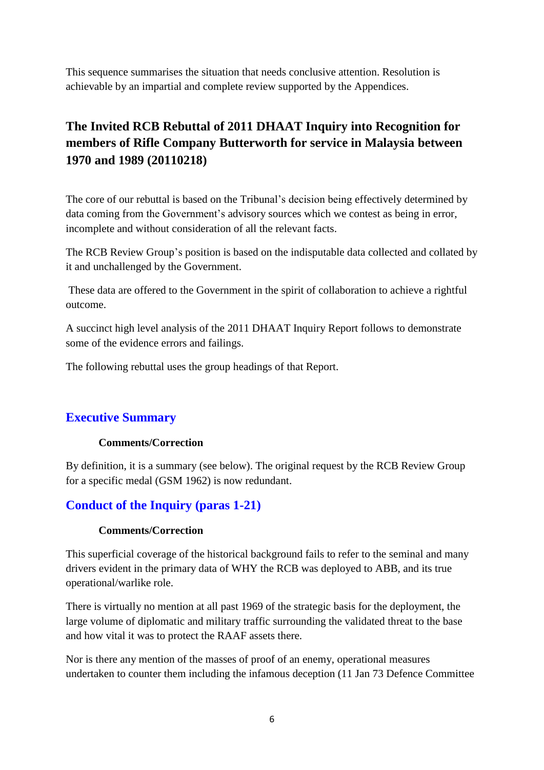This sequence summarises the situation that needs conclusive attention. Resolution is achievable by an impartial and complete review supported by the Appendices.

# **The Invited RCB Rebuttal of 2011 DHAAT Inquiry into Recognition for members of Rifle Company Butterworth for service in Malaysia between 1970 and 1989 (20110218)**

The core of our rebuttal is based on the Tribunal's decision being effectively determined by data coming from the Government's advisory sources which we contest as being in error, incomplete and without consideration of all the relevant facts.

The RCB Review Group's position is based on the indisputable data collected and collated by it and unchallenged by the Government.

These data are offered to the Government in the spirit of collaboration to achieve a rightful outcome.

A succinct high level analysis of the 2011 DHAAT Inquiry Report follows to demonstrate some of the evidence errors and failings.

The following rebuttal uses the group headings of that Report.

### **Executive Summary**

#### **Comments/Correction**

By definition, it is a summary (see below). The original request by the RCB Review Group for a specific medal (GSM 1962) is now redundant.

### **Conduct of the Inquiry (paras 1-21)**

#### **Comments/Correction**

This superficial coverage of the historical background fails to refer to the seminal and many drivers evident in the primary data of WHY the RCB was deployed to ABB, and its true operational/warlike role.

There is virtually no mention at all past 1969 of the strategic basis for the deployment, the large volume of diplomatic and military traffic surrounding the validated threat to the base and how vital it was to protect the RAAF assets there.

Nor is there any mention of the masses of proof of an enemy, operational measures undertaken to counter them including the infamous deception (11 Jan 73 Defence Committee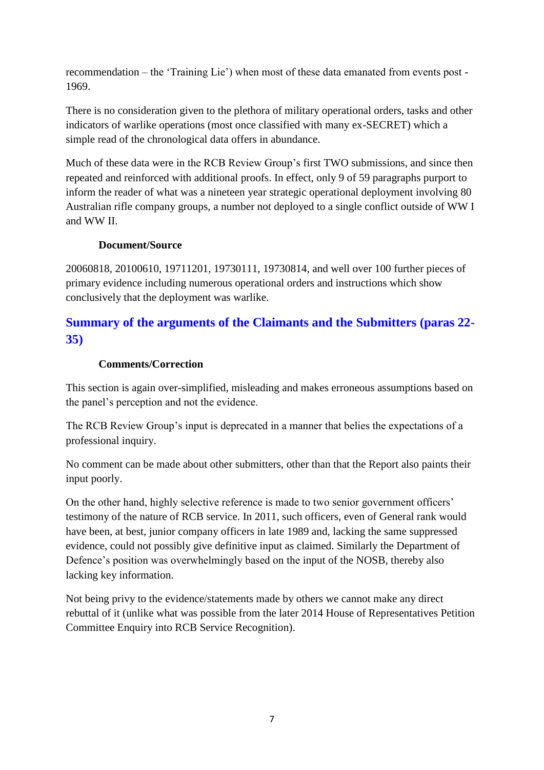recommendation – the 'Training Lie') when most of these data emanated from events post - 1969.

There is no consideration given to the plethora of military operational orders, tasks and other indicators of warlike operations (most once classified with many ex-SECRET) which a simple read of the chronological data offers in abundance.

Much of these data were in the RCB Review Group's first TWO submissions, and since then repeated and reinforced with additional proofs. In effect, only 9 of 59 paragraphs purport to inform the reader of what was a nineteen year strategic operational deployment involving 80 Australian rifle company groups, a number not deployed to a single conflict outside of WW I and WW II.

#### **Document/Source**

20060818, 20100610, 19711201, 19730111, 19730814, and well over 100 further pieces of primary evidence including numerous operational orders and instructions which show conclusively that the deployment was warlike.

# **Summary of the arguments of the Claimants and the Submitters (paras 22- 35)**

#### **Comments/Correction**

This section is again over-simplified, misleading and makes erroneous assumptions based on the panel's perception and not the evidence.

The RCB Review Group's input is deprecated in a manner that belies the expectations of a professional inquiry.

No comment can be made about other submitters, other than that the Report also paints their input poorly.

On the other hand, highly selective reference is made to two senior government officers' testimony of the nature of RCB service. In 2011, such officers, even of General rank would have been, at best, junior company officers in late 1989 and, lacking the same suppressed evidence, could not possibly give definitive input as claimed. Similarly the Department of Defence's position was overwhelmingly based on the input of the NOSB, thereby also lacking key information.

Not being privy to the evidence/statements made by others we cannot make any direct rebuttal of it (unlike what was possible from the later 2014 House of Representatives Petition Committee Enquiry into RCB Service Recognition).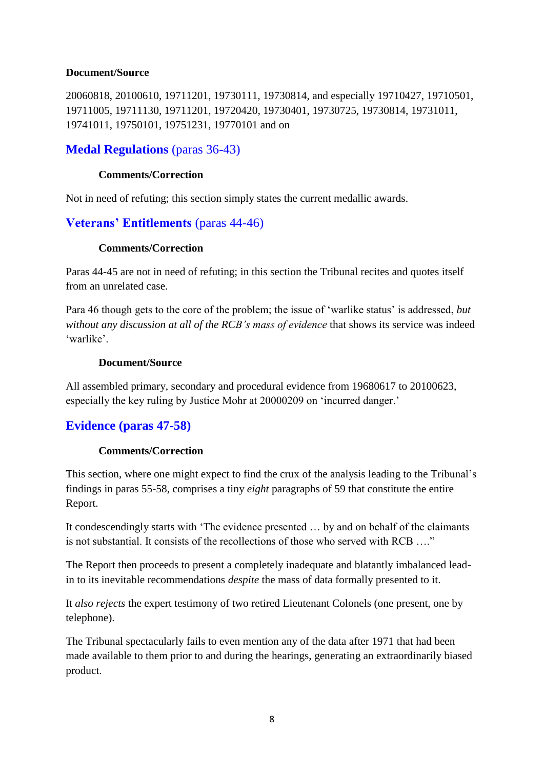#### **Document/Source**

20060818, 20100610, 19711201, 19730111, 19730814, and especially 19710427, 19710501, 19711005, 19711130, 19711201, 19720420, 19730401, 19730725, 19730814, 19731011, 19741011, 19750101, 19751231, 19770101 and on

### **Medal Regulations** (paras 36-43)

#### **Comments/Correction**

Not in need of refuting; this section simply states the current medallic awards.

### **Veterans' Entitlements** (paras 44-46)

#### **Comments/Correction**

Paras 44-45 are not in need of refuting; in this section the Tribunal recites and quotes itself from an unrelated case.

Para 46 though gets to the core of the problem; the issue of 'warlike status' is addressed, *but without any discussion at all of the RCB's mass of evidence* that shows its service was indeed 'warlike'.

#### **Document/Source**

All assembled primary, secondary and procedural evidence from 19680617 to 20100623, especially the key ruling by Justice Mohr at 20000209 on 'incurred danger.'

### **Evidence (paras 47-58)**

#### **Comments/Correction**

This section, where one might expect to find the crux of the analysis leading to the Tribunal's findings in paras 55-58, comprises a tiny *eight* paragraphs of 59 that constitute the entire Report.

It condescendingly starts with 'The evidence presented … by and on behalf of the claimants is not substantial. It consists of the recollections of those who served with RCB …."

The Report then proceeds to present a completely inadequate and blatantly imbalanced leadin to its inevitable recommendations *despite* the mass of data formally presented to it.

It *also rejects* the expert testimony of two retired Lieutenant Colonels (one present, one by telephone).

The Tribunal spectacularly fails to even mention any of the data after 1971 that had been made available to them prior to and during the hearings, generating an extraordinarily biased product.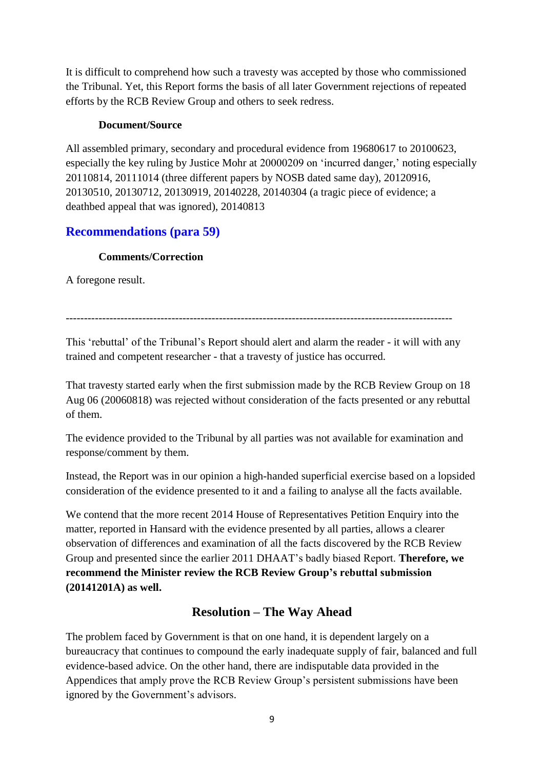It is difficult to comprehend how such a travesty was accepted by those who commissioned the Tribunal. Yet, this Report forms the basis of all later Government rejections of repeated efforts by the RCB Review Group and others to seek redress.

#### **Document/Source**

All assembled primary, secondary and procedural evidence from 19680617 to 20100623, especially the key ruling by Justice Mohr at 20000209 on 'incurred danger,' noting especially 20110814, 20111014 (three different papers by NOSB dated same day), 20120916, 20130510, 20130712, 20130919, 20140228, 20140304 (a tragic piece of evidence; a deathbed appeal that was ignored), 20140813

# **Recommendations (para 59)**

### **Comments/Correction**

A foregone result.

----------------------------------------------------------------------------------------------------------

This 'rebuttal' of the Tribunal's Report should alert and alarm the reader - it will with any trained and competent researcher - that a travesty of justice has occurred.

That travesty started early when the first submission made by the RCB Review Group on 18 Aug 06 (20060818) was rejected without consideration of the facts presented or any rebuttal of them.

The evidence provided to the Tribunal by all parties was not available for examination and response/comment by them.

Instead, the Report was in our opinion a high-handed superficial exercise based on a lopsided consideration of the evidence presented to it and a failing to analyse all the facts available.

We contend that the more recent 2014 House of Representatives Petition Enquiry into the matter, reported in Hansard with the evidence presented by all parties, allows a clearer observation of differences and examination of all the facts discovered by the RCB Review Group and presented since the earlier 2011 DHAAT's badly biased Report. **Therefore, we recommend the Minister review the RCB Review Group's rebuttal submission (20141201A) as well.**

# **Resolution – The Way Ahead**

The problem faced by Government is that on one hand, it is dependent largely on a bureaucracy that continues to compound the early inadequate supply of fair, balanced and full evidence-based advice. On the other hand, there are indisputable data provided in the Appendices that amply prove the RCB Review Group's persistent submissions have been ignored by the Government's advisors.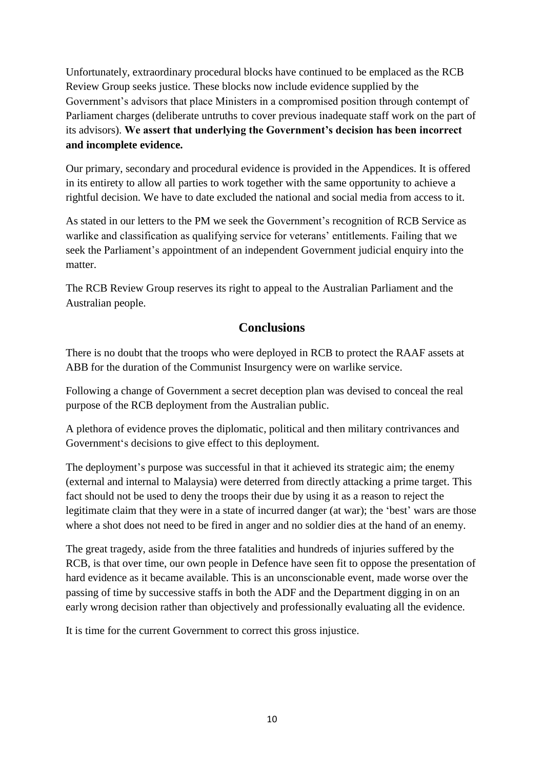Unfortunately, extraordinary procedural blocks have continued to be emplaced as the RCB Review Group seeks justice. These blocks now include evidence supplied by the Government's advisors that place Ministers in a compromised position through contempt of Parliament charges (deliberate untruths to cover previous inadequate staff work on the part of its advisors). **We assert that underlying the Government's decision has been incorrect and incomplete evidence.** 

Our primary, secondary and procedural evidence is provided in the Appendices. It is offered in its entirety to allow all parties to work together with the same opportunity to achieve a rightful decision. We have to date excluded the national and social media from access to it.

As stated in our letters to the PM we seek the Government's recognition of RCB Service as warlike and classification as qualifying service for veterans' entitlements. Failing that we seek the Parliament's appointment of an independent Government judicial enquiry into the matter.

The RCB Review Group reserves its right to appeal to the Australian Parliament and the Australian people.

### **Conclusions**

There is no doubt that the troops who were deployed in RCB to protect the RAAF assets at ABB for the duration of the Communist Insurgency were on warlike service.

Following a change of Government a secret deception plan was devised to conceal the real purpose of the RCB deployment from the Australian public.

A plethora of evidence proves the diplomatic, political and then military contrivances and Government's decisions to give effect to this deployment.

The deployment's purpose was successful in that it achieved its strategic aim; the enemy (external and internal to Malaysia) were deterred from directly attacking a prime target. This fact should not be used to deny the troops their due by using it as a reason to reject the legitimate claim that they were in a state of incurred danger (at war); the 'best' wars are those where a shot does not need to be fired in anger and no soldier dies at the hand of an enemy.

The great tragedy, aside from the three fatalities and hundreds of injuries suffered by the RCB, is that over time, our own people in Defence have seen fit to oppose the presentation of hard evidence as it became available. This is an unconscionable event, made worse over the passing of time by successive staffs in both the ADF and the Department digging in on an early wrong decision rather than objectively and professionally evaluating all the evidence.

It is time for the current Government to correct this gross injustice.